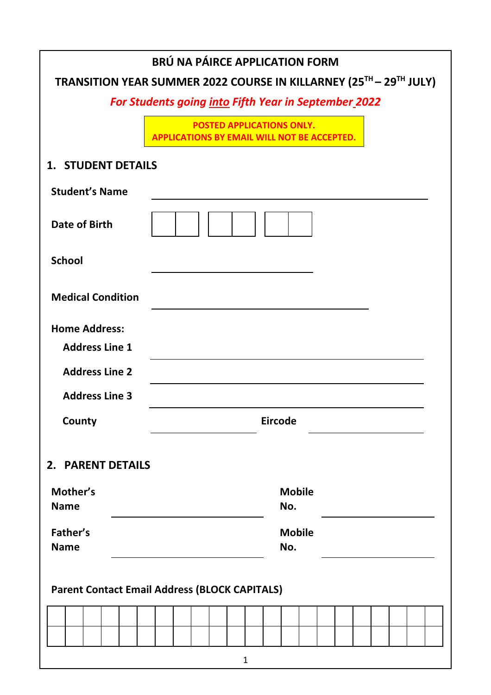| BRÚ NA PÁIRCE APPLICATION FORM<br>TRANSITION YEAR SUMMER 2022 COURSE IN KILLARNEY (25TH - 29TH JULY) |                                                                                        |  |  |  |
|------------------------------------------------------------------------------------------------------|----------------------------------------------------------------------------------------|--|--|--|
| <b>For Students going into Fifth Year in September_2022</b>                                          |                                                                                        |  |  |  |
|                                                                                                      | <b>POSTED APPLICATIONS ONLY.</b><br><b>APPLICATIONS BY EMAIL WILL NOT BE ACCEPTED.</b> |  |  |  |
| <b>1. STUDENT DETAILS</b>                                                                            |                                                                                        |  |  |  |
| <b>Student's Name</b>                                                                                |                                                                                        |  |  |  |
| Date of Birth                                                                                        |                                                                                        |  |  |  |
| <b>School</b>                                                                                        |                                                                                        |  |  |  |
| <b>Medical Condition</b>                                                                             |                                                                                        |  |  |  |
| <b>Home Address:</b>                                                                                 |                                                                                        |  |  |  |
| <b>Address Line 1</b>                                                                                |                                                                                        |  |  |  |
| <b>Address Line 2</b>                                                                                |                                                                                        |  |  |  |
| <b>Address Line 3</b>                                                                                |                                                                                        |  |  |  |
| County                                                                                               | <b>Eircode</b>                                                                         |  |  |  |
| 2. PARENT DETAILS                                                                                    |                                                                                        |  |  |  |
| Mother's                                                                                             | <b>Mobile</b>                                                                          |  |  |  |
| <b>Name</b>                                                                                          | No.                                                                                    |  |  |  |
| Father's<br><b>Name</b>                                                                              | <b>Mobile</b><br>No.                                                                   |  |  |  |
| <b>Parent Contact Email Address (BLOCK CAPITALS)</b>                                                 |                                                                                        |  |  |  |
|                                                                                                      |                                                                                        |  |  |  |
|                                                                                                      |                                                                                        |  |  |  |
|                                                                                                      | $\mathbf{1}$                                                                           |  |  |  |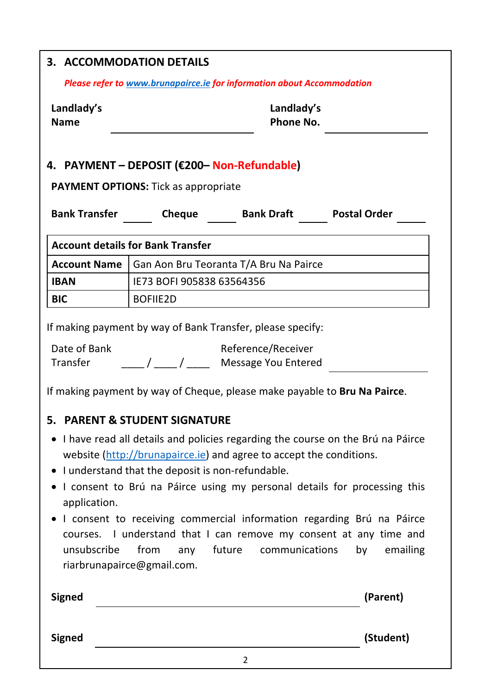| 3. ACCOMMODATION DETAILS                                                                   |                                                    |                                                                                                                                                                                                                                                                                                              |                     |  |
|--------------------------------------------------------------------------------------------|----------------------------------------------------|--------------------------------------------------------------------------------------------------------------------------------------------------------------------------------------------------------------------------------------------------------------------------------------------------------------|---------------------|--|
|                                                                                            |                                                    | Please refer to www.brunapairce.ie for information about Accommodation                                                                                                                                                                                                                                       |                     |  |
| Landlady's<br><b>Name</b>                                                                  | Landlady's<br><b>Phone No.</b>                     |                                                                                                                                                                                                                                                                                                              |                     |  |
| 4. PAYMENT - DEPOSIT (€200- Non-Refundable)<br><b>PAYMENT OPTIONS:</b> Tick as appropriate |                                                    |                                                                                                                                                                                                                                                                                                              |                     |  |
| <b>Bank Transfer</b>                                                                       | Cheque                                             | <b>Bank Draft</b>                                                                                                                                                                                                                                                                                            | <b>Postal Order</b> |  |
| <b>Account details for Bank Transfer</b>                                                   |                                                    |                                                                                                                                                                                                                                                                                                              |                     |  |
| <b>Account Name</b>                                                                        |                                                    | Gan Aon Bru Teoranta T/A Bru Na Pairce                                                                                                                                                                                                                                                                       |                     |  |
| <b>IBAN</b>                                                                                | IE73 BOFI 905838 63564356                          |                                                                                                                                                                                                                                                                                                              |                     |  |
| <b>BIC</b>                                                                                 | <b>BOFIIE2D</b>                                    |                                                                                                                                                                                                                                                                                                              |                     |  |
| Transfer                                                                                   |                                                    | / / / Message You Entered<br>If making payment by way of Cheque, please make payable to Bru Na Pairce.                                                                                                                                                                                                       |                     |  |
|                                                                                            | 5. PARENT & STUDENT SIGNATURE                      |                                                                                                                                                                                                                                                                                                              |                     |  |
| application.                                                                               | • I understand that the deposit is non-refundable. | • I have read all details and policies regarding the course on the Brú na Páirce<br>website (http://brunapairce.ie) and agree to accept the conditions.<br>I consent to Brú na Páirce using my personal details for processing this<br>I consent to receiving commercial information regarding Brú na Páirce |                     |  |
| unsubscribe                                                                                | from<br>any<br>riarbrunapairce@gmail.com.          | courses. I understand that I can remove my consent at any time and<br>future<br>communications                                                                                                                                                                                                               | by<br>emailing      |  |
| <b>Signed</b>                                                                              |                                                    |                                                                                                                                                                                                                                                                                                              | (Parent)            |  |
| <b>Signed</b>                                                                              |                                                    |                                                                                                                                                                                                                                                                                                              | (Student)           |  |